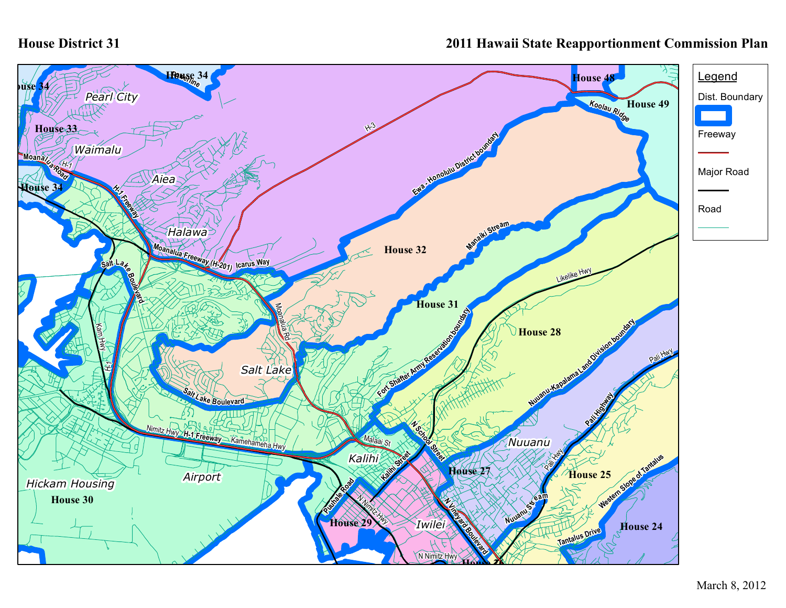## **House District 31**

## **2011 Hawaii State Reapportionment Commission Plan**

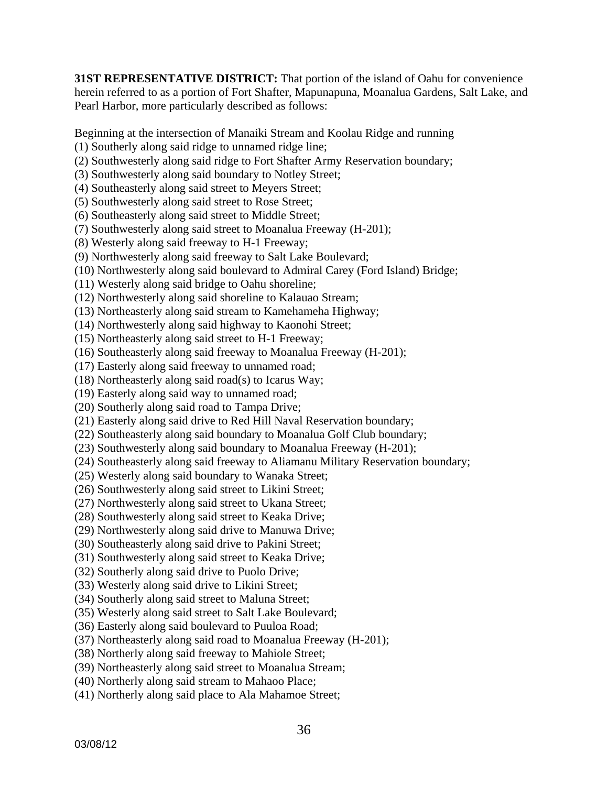**31ST REPRESENTATIVE DISTRICT:** That portion of the island of Oahu for convenience herein referred to as a portion of Fort Shafter, Mapunapuna, Moanalua Gardens, Salt Lake, and Pearl Harbor, more particularly described as follows:

Beginning at the intersection of Manaiki Stream and Koolau Ridge and running

- (1) Southerly along said ridge to unnamed ridge line;
- (2) Southwesterly along said ridge to Fort Shafter Army Reservation boundary;
- (3) Southwesterly along said boundary to Notley Street;
- (4) Southeasterly along said street to Meyers Street;
- (5) Southwesterly along said street to Rose Street;
- (6) Southeasterly along said street to Middle Street;
- (7) Southwesterly along said street to Moanalua Freeway (H-201);
- (8) Westerly along said freeway to H-1 Freeway;
- (9) Northwesterly along said freeway to Salt Lake Boulevard;
- (10) Northwesterly along said boulevard to Admiral Carey (Ford Island) Bridge;
- (11) Westerly along said bridge to Oahu shoreline;
- (12) Northwesterly along said shoreline to Kalauao Stream;
- (13) Northeasterly along said stream to Kamehameha Highway;
- (14) Northwesterly along said highway to Kaonohi Street;
- (15) Northeasterly along said street to H-1 Freeway;
- (16) Southeasterly along said freeway to Moanalua Freeway (H-201);
- (17) Easterly along said freeway to unnamed road;
- (18) Northeasterly along said road(s) to Icarus Way;
- (19) Easterly along said way to unnamed road;
- (20) Southerly along said road to Tampa Drive;
- (21) Easterly along said drive to Red Hill Naval Reservation boundary;
- (22) Southeasterly along said boundary to Moanalua Golf Club boundary;
- (23) Southwesterly along said boundary to Moanalua Freeway (H-201);
- (24) Southeasterly along said freeway to Aliamanu Military Reservation boundary;
- (25) Westerly along said boundary to Wanaka Street;
- (26) Southwesterly along said street to Likini Street;
- (27) Northwesterly along said street to Ukana Street;
- (28) Southwesterly along said street to Keaka Drive;
- (29) Northwesterly along said drive to Manuwa Drive;
- (30) Southeasterly along said drive to Pakini Street;
- (31) Southwesterly along said street to Keaka Drive;
- (32) Southerly along said drive to Puolo Drive;
- (33) Westerly along said drive to Likini Street;
- (34) Southerly along said street to Maluna Street;
- (35) Westerly along said street to Salt Lake Boulevard;
- (36) Easterly along said boulevard to Puuloa Road;
- (37) Northeasterly along said road to Moanalua Freeway (H-201);
- (38) Northerly along said freeway to Mahiole Street;
- (39) Northeasterly along said street to Moanalua Stream;
- (40) Northerly along said stream to Mahaoo Place;
- (41) Northerly along said place to Ala Mahamoe Street;